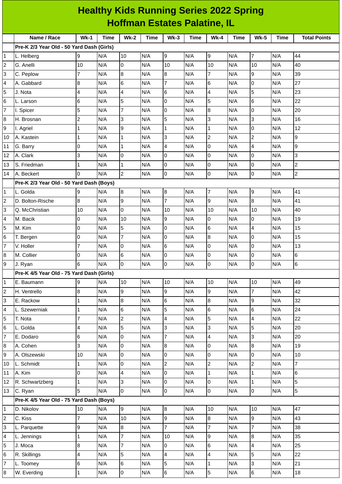| <b>Healthy Kids Running Series 2022 Spring</b><br><b>Hoffman Estates Palatine, IL</b> |                                           |              |             |                |             |                         |      |                          |             |                          |             |                     |
|---------------------------------------------------------------------------------------|-------------------------------------------|--------------|-------------|----------------|-------------|-------------------------|------|--------------------------|-------------|--------------------------|-------------|---------------------|
|                                                                                       | Name / Race                               | $Wk-1$       | <b>Time</b> | <b>Wk-2</b>    | <b>Time</b> | $Wk-3$                  | Time | $Wk-4$                   | <b>Time</b> | <b>Wk-5</b>              | <b>Time</b> | <b>Total Points</b> |
|                                                                                       | Pre-K 2/3 Year Old - 50 Yard Dash (Girls) |              |             |                |             |                         |      |                          |             |                          |             |                     |
| $\mathbf{1}$                                                                          | L. Helberg                                | 9            | N/A         | 10             | N/A         | 9                       | N/A  | 9                        | N/A         | $\overline{7}$           | N/A         | 44                  |
| $\overline{c}$                                                                        | G. Anelli                                 | 10           | N/A         | O              | N/A         | 10                      | N/A  | 10                       | N/A         | 10                       | N/A         | 40                  |
| IЗ                                                                                    | C. Peplow                                 | 7            | N/A         | $\overline{8}$ | N/A         | 8                       | N/A  | $\overline{7}$           | N/A         | $\overline{9}$           | N/A         | 39                  |
| $\overline{4}$                                                                        | A. Gabbard                                | 8            | N/A         | 6              | N/A         | $\overline{7}$          | N/A  | 6                        | N/A         | $\mathbf 0$              | N/A         | 27                  |
| 5                                                                                     | J. Nota                                   | 4            | N/A         | $\overline{4}$ | N/A         | $6\phantom{1}6$         | N/A  | 4                        | N/A         | 5                        | N/A         | 23                  |
| 6                                                                                     | L. Larson                                 | 6            | N/A         | 5              | N/A         | 0                       | N/A  | 5                        | N/A         | 6                        | N/A         | 22                  |
| 7                                                                                     | I. Spicer                                 | 5            | N/A         | $\overline{7}$ | N/A         | 0                       | N/A  | 8                        | N/A         | $\overline{0}$           | N/A         | 20                  |
| $\boldsymbol{8}$                                                                      | H. Brosnan                                | 2            | N/A         | 3              | N/A         | 5                       | N/A  | 3                        | N/A         | 3                        | N/A         | 16                  |
| 9                                                                                     | I. Agriel                                 | 1            | N/A         | 9              | N/A         | $\mathbf{1}$            | N/A  | $\mathbf{1}$             | N/A         | $\mathsf{O}\xspace$      | N/A         | 12                  |
| 10                                                                                    | A. Kastein                                | $\mathbf{1}$ | N/A         | $\mathbf{1}$   | N/A         | 3                       | N/A  | $\overline{c}$           | N/A         | $\overline{c}$           | N/A         | 9                   |
| 11                                                                                    | G. Barry                                  | 0            | N/A         | $\mathbf{1}$   | N/A         | 4                       | N/A  | 0                        | N/A         | 4                        | N/A         | 9                   |
| 12                                                                                    | A. Clark                                  | 3            | N/A         | 0              | N/A         | $\overline{0}$          | N/A  | 0                        | N/A         | $\mathbf 0$              | N/A         | 3                   |
| 13                                                                                    | S. Friedman                               | 1            | N/A         | $\mathbf{1}$   | N/A         | O                       | N/A  | $\mathsf 0$              | N/A         | $\mathbf 0$              | N/A         | $\overline{c}$      |
| 14                                                                                    | A. Beckert                                | 0            | N/A         | $\overline{c}$ | N/A         | l0                      | N/A  | 0                        | N/A         | $\overline{0}$           | N/A         | $\overline{c}$      |
|                                                                                       | Pre-K 2/3 Year Old - 50 Yard Dash (Boys)  |              |             |                |             |                         |      |                          |             |                          |             |                     |
| $\mathbf{1}$                                                                          | L. Golda                                  | 9            | N/A         | 8              | N/A         | $\bf{8}$                | N/A  | $\overline{\mathcal{I}}$ | N/A         | 9                        | N/A         | 41                  |
| $\overline{c}$                                                                        | D. Bolton-Rische                          | 8            | N/A         | 9              | N/A         | $\overline{7}$          | N/A  | 9                        | N/A         | $\bf{8}$                 | N/A         | 41                  |
| IЗ                                                                                    | Q. McChristian                            | 10           | N/A         | 0              | N/A         | 10                      | N/A  | 10                       | N/A         | 10                       | N/A         | 40                  |
| 4                                                                                     | M. Bacik                                  | 0            | N/A         | 10             | N/A         | 9                       | N/A  | 0                        | N/A         | $\overline{0}$           | N/A         | 19                  |
| 5                                                                                     | M. Kim                                    | 0            | N/A         | 5              | N/A         | $\overline{0}$          | N/A  | 6                        | N/A         | $\overline{4}$           | N/A         | 15                  |
| 6                                                                                     | T. Bergen                                 | 0            | N/A         | $\overline{7}$ | N/A         | O                       | N/A  | $\, 8$                   | N/A         | $\mathbf 0$              | N/A         | 15                  |
| $\overline{7}$                                                                        | V. Holler                                 | 7            | N/A         | 0              | N/A         | 6                       | N/A  | 0                        | N/A         | $\overline{0}$           | N/A         | 13                  |
| 8                                                                                     | M. Collier                                | 0            | N/A         | l6             | N/A         | $\overline{0}$          | N/A  | $\overline{0}$           | N/A         | l0                       | N/A         | $6\phantom{.}6$     |
| 9                                                                                     | J. Ryan                                   | 6            | N/A         | I٥             | N/A         | $\overline{0}$          | N/A  | $\mathsf 0$              | N/A         | lo                       | N/A         | 6                   |
|                                                                                       | Pre-K 4/5 Year Old - 75 Yard Dash (Girls) |              |             |                |             |                         |      |                          |             |                          |             |                     |
| $\overline{1}$                                                                        | E. Baumann                                | 9            | N/A         | 10             | N/A         | 10                      | N/A  | 10                       | N/A         | 10                       | N/A         | 49                  |
| $\overline{c}$                                                                        | H. Ventrello                              | 8            | N/A         | l9             | N/A         | 9                       | N/A  | 9                        | N/A         | $\overline{7}$           | N/A         | 42                  |
| 3                                                                                     | E. Rackow                                 | $\mathbf 1$  | N/A         | $\, 8$         | N/A         | $6\phantom{.}6$         | N/A  | 8                        | N/A         | 9                        | N/A         | 32                  |
| $\overline{4}$                                                                        | L. Szewerniak                             | $\mathbf{1}$ | N/A         | $6\phantom{a}$ | N/A         | 5                       | N/A  | $\,6$                    | N/A         | 6                        | N/A         | 24                  |
| 5                                                                                     | T. Nota                                   | 7            | N/A         | $\overline{c}$ | N/A         | 4                       | N/A  | 5                        | N/A         | $\overline{\mathcal{L}}$ | N/A         | 22                  |
| 6                                                                                     | L. Golda                                  | 4            | N/A         | 5              | N/A         | 3                       | N/A  | 3                        | N/A         | 5                        | N/A         | 20                  |
| $\overline{7}$                                                                        | E. Dodaro                                 | 6            | N/A         | O              | N/A         | $\overline{7}$          | N/A  | $\overline{\mathbf{4}}$  | N/A         | 3                        | N/A         | 20                  |
| 8                                                                                     | A. Cohen                                  | 3            | N/A         | 0              | N/A         | 8                       | N/A  | 0                        | N/A         | $\bf{8}$                 | N/A         | 19                  |
| 9                                                                                     | A. Olszewski                              | 10           | N/A         | l0             | N/A         | $\overline{0}$          | N/A  | 0                        | N/A         | $\overline{0}$           | N/A         | 10                  |
| 10                                                                                    | L. Schmidt                                | 1            | N/A         | O              | N/A         | $\overline{2}$          | N/A  | $\overline{c}$           | N/A         | $\overline{c}$           | N/A         | $\overline{7}$      |
| 11                                                                                    | A. Kim                                    | 0            | N/A         | $\overline{4}$ | N/A         | $\overline{0}$          | N/A  | $\mathbf 1$              | N/A         | $\mathbf 1$              | N/A         | 6                   |
| 12                                                                                    | R. Schwartzberg                           | 1            | N/A         | 3              | N/A         | $\overline{0}$          | N/A  | 0                        | N/A         | $\mathbf{1}$             | N/A         | 5                   |
| 13                                                                                    | C. Ryan                                   | 5            | N/A         | lo             | N/A         | $\overline{0}$          | N/A  | $\mathsf 0$              | N/A         | l 0                      | N/A         | 5                   |
|                                                                                       | Pre-K 4/5 Year Old - 75 Yard Dash (Boys)  |              |             |                |             |                         |      |                          |             |                          |             |                     |
| $\overline{1}$                                                                        | D. Nikolov                                | 10           | N/A         | g              | N/A         | $\bf{8}$                | N/A  | 10                       | N/A         | 10                       | N/A         | 47                  |
| $\overline{2}$                                                                        | C. Kiss                                   | 7            | N/A         | 10             | N/A         | 9                       | N/A  | 8                        | N/A         | 9                        | N/A         | 43                  |
| 3                                                                                     | L. Parquette                              | 9            | N/A         | $8\,$          | N/A         | $\overline{7}$          | N/A  | $\overline{7}$           | N/A         | $\overline{7}$           | N/A         | 38                  |
| $\overline{a}$                                                                        | L. Jennings                               | 1            | N/A         | $\overline{7}$ | N/A         | 10                      | N/A  | 9                        | N/A         | $\boldsymbol{8}$         | N/A         | 35                  |
| 5                                                                                     | J. Moca                                   | 8            | N/A         | $\overline{7}$ | N/A         | $\overline{0}$          | N/A  | 6                        | N/A         | $\overline{\mathcal{L}}$ | N/A         | 25                  |
| 6                                                                                     | R. Skillings                              | 4            | N/A         | 5              | N/A         | $\overline{\mathbf{4}}$ | N/A  | 4                        | N/A         | 5                        | N/A         | 22                  |
| $\overline{7}$                                                                        | L. Toomey                                 | 6            | N/A         | $\,6$          | N/A         | 5                       | N/A  | $\mathbf{1}$             | N/A         | 3                        | N/A         | 21                  |
| $\boldsymbol{8}$                                                                      | W. Everding                               | 1            | N/A         | $\overline{0}$ | N/A         | $\,6$                   | N/A  | 5                        | N/A         | $\,6$                    | N/A         | 18                  |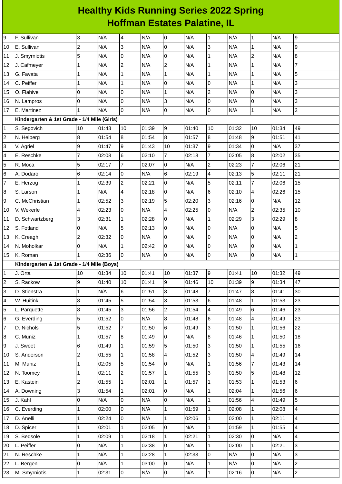## **Healthy Kids Running Series 2022 Spring Hoffman Estates Palatine, IL**

| 9                | F. Sullivan                                 | 3              | N/A   | $\overline{\mathbf{4}}$ | N/A   | $\overline{0}$           | N/A   | $\mathbf{1}$   | N/A   | $\mathbf 1$             | N/A   | 9              |
|------------------|---------------------------------------------|----------------|-------|-------------------------|-------|--------------------------|-------|----------------|-------|-------------------------|-------|----------------|
| 10               | E. Sullivan                                 | $\overline{c}$ | N/A   | 3                       | N/A   | $\mathsf 0$              | N/A   | 3              | N/A   | $\mathbf 1$             | N/A   | 9              |
| 11               | J. Smyrniotis                               | 5              | N/A   | l0                      | N/A   | $\mathsf 0$              | N/A   | $\mathbf 1$    | N/A   | $\overline{c}$          | N/A   | 8              |
| 12               | J. Cafmeyer                                 | $\mathbf{1}$   | N/A   | $\overline{c}$          | N/A   | $\overline{c}$           | N/A   | $\mathbf 1$    | N/A   | $\mathbf 1$             | N/A   | $\overline{7}$ |
| 13               | G. Favata                                   | 1              | N/A   | $\mathbf{1}$            | N/A   | $\mathbf{1}$             | N/A   | $\mathbf{1}$   | N/A   | $\mathbf 1$             | N/A   | 5              |
| 14               | C. Peiffer                                  | 1              | N/A   | $\mathbf{1}$            | N/A   | 0                        | N/A   | 0              | N/A   | $\mathbf 1$             | N/A   | 3              |
| 15               | O. Flahive                                  | 0              | N/A   | $\mathsf 0$             | N/A   | $\mathbf 1$              | N/A   | $\overline{c}$ | N/A   | $\mathsf 0$             | N/A   | 3              |
| 16               | N. Lampros                                  | O              | N/A   | l0                      | N/A   | 3                        | N/A   | 0              | N/A   | $\overline{0}$          | N/A   | 3              |
| 17               | E. Martinez                                 | $\mathbf{1}$   | N/A   | lo                      | N/A   | 0                        | N/A   | 0              | N/A   | $\mathbf 1$             | N/A   | $\overline{c}$ |
|                  | Kindergarten & 1st Grade - 1/4 Mile (Girls) |                |       |                         |       |                          |       |                |       |                         |       |                |
| 1                | S. Segovich                                 | 10             | 01:43 | 10                      | 01:39 | 9                        | 01:40 | 10             | 01:32 | 10                      | 01:34 | 49             |
| $\boldsymbol{2}$ | N. Helberg                                  | 8              | 01:54 | $\, 8$                  | 01:54 | $\bf{8}$                 | 01:57 | $8\,$          | 01:48 | $\boldsymbol{9}$        | 01:51 | 41             |
| 3                | V. Agriel                                   | 9              | 01:47 | 9                       | 01:43 | 10                       | 01:37 | 9              | 01:34 | $\mathsf 0$             | N/A   | 37             |
| 4                | E. Reschke                                  | $\overline{7}$ | 02:08 | $6\phantom{.}6$         | 02:10 | $\overline{7}$           | 02:18 | $\overline{7}$ | 02:05 | $\boldsymbol{8}$        | 02:02 | 35             |
| 5                | R. Moca                                     | 5              | 02:17 | $\overline{7}$          | 02:07 | 0                        | N/A   | $\overline{c}$ | 02:23 | $\overline{7}$          | 02:06 | 21             |
| 6                | A. Dodaro                                   | $\,$ 6         | 02:14 | lo                      | N/A   | $6\phantom{a}$           | 02:19 | 4              | 02:13 | 5                       | 02:11 | 21             |
| $\overline{7}$   | E. Herzog                                   | 1              | 02:39 | $\overline{c}$          | 02:21 | $\mathsf 0$              | N/A   | 5              | 02:11 | $\overline{7}$          | 02:06 | 15             |
| 8                | S. Larson                                   | 1              | N/A   | $\overline{\mathbf{4}}$ | 02:18 | $\pmb{0}$                | N/A   | 6              | 02:10 | $\pmb{4}$               | 02:26 | 15             |
| 9                | C. McChristian                              | $\mathbf{1}$   | 02:52 | 3                       | 02:19 | 5                        | 02:20 | 3              | 02:16 | $\overline{0}$          | N/A   | 12             |
| 10               | V. Wekerle                                  | 4              | 02:23 | l0                      | N/A   | 4                        | 02:25 | 0              | N/A   | $\overline{c}$          | 02:35 | 10             |
| 11               | D. Schwartzberg                             | 3              | 02:31 | $\mathbf{1}$            | 02:28 | $\mathsf 0$              | N/A   | $\mathbf{1}$   | 02:29 | $\mathsf{3}$            | 02:29 | 8              |
| 12               | S. Fotland                                  | 0              | N/A   | 5                       | 02:13 | 0                        | N/A   | 0              | N/A   | $\overline{0}$          | N/A   | 5              |
| 13               | K. Creagh                                   | $\overline{c}$ | 02:32 | 0                       | N/A   | $\pmb{0}$                | N/A   | 0              | N/A   | $\mathsf 0$             | N/A   | $\overline{c}$ |
| 14               | N. Moholkar                                 | 0              | N/A   | $\mathbf{1}$            | 02:42 | $\overline{0}$           | N/A   | 0              | N/A   | $\mathsf 0$             | N/A   | $\mathbf{1}$   |
| 15               | K. Roman                                    | $\mathbf{1}$   | 02:36 | lo.                     | N/A   | 0                        | N/A   | 0              | N/A   | $\overline{0}$          | N/A   | $\mathbf{1}$   |
|                  | Kindergarten & 1st Grade - 1/4 Mile (Boys)  |                |       |                         |       |                          |       |                |       |                         |       |                |
| $\mathbf{1}$     | J. Orta                                     | 10             | 01:34 | 10                      | 01:41 | 10                       | 01:37 | 9              | 01:41 | 10                      | 01:32 | 49             |
| 2                | S. Rackow                                   | 9              | 01:40 | 10                      | 01:41 | 9                        | 01:46 | 10             | 01:39 | l9                      | 01:34 | 47             |
| 3                | D. Stienstra                                | $\mathbf{1}$   | N/A   | $6\phantom{a}$          | 01:51 | 8                        | 01:48 | $\overline{7}$ | 01:47 | 8                       | 01:41 | 30             |
| 4                | W. Huitink                                  | 8              | 01:45 | 5                       | 01:54 | 3                        | 01:53 | 6              | 01:48 | $\mathbf{1}$            | 01:53 | 23             |
| 5                | L. Parquette                                | 8              | 01:45 | 3                       | 01:56 | $\overline{2}$           | 01:54 | $\overline{4}$ | 01:49 | $\,6$                   | 01:46 | 23             |
| 6                | G. Everding                                 | 5              | 01:52 | l0                      | N/A   | $\overline{8}$           | 01:48 | 6              | 01:48 | $\overline{\mathbf{4}}$ | 01:49 | 23             |
| $\overline{7}$   | D. Nichols                                  | 5              | 01:52 | $\overline{7}$          | 01:50 | $6\phantom{.}6$          | 01:49 | 3              | 01:50 | $\mathbf 1$             | 01:56 | 22             |
| 8                | C. Muniz                                    | 1              | 01:57 | $\boldsymbol{8}$        | 01:49 | $\overline{0}$           | N/A   | $\overline{8}$ | 01:46 | $\mathbf 1$             | 01:50 | 18             |
| 9                | J. Sweet                                    | 6              | 01:49 | 1                       | 01:59 | 5                        | 01:50 | $\overline{3}$ | 01:50 | $\mathbf 1$             | 01:55 | 16             |
| 10               | S. Anderson                                 | $\overline{2}$ | 01:55 | $\mathbf{1}$            | 01:58 | $\overline{\mathcal{L}}$ | 01:52 | 3              | 01:50 | 4                       | 01:49 | 14             |
| 11               | M. Muniz                                    | $\mathbf 1$    | 02:05 | 5                       | 01:54 | $\overline{0}$           | N/A   | $\mathbf{1}$   | 01:56 | $\overline{7}$          | 01:43 | 14             |
| 12               | N. Toomey                                   | 1              | 02:11 | $\overline{2}$          | 01:57 | $\mathbf{1}$             | 01:55 | $\overline{3}$ | 01:50 | 5                       | 01:48 | 12             |
| 13               | E. Kastein                                  | $\overline{c}$ | 01:55 | $\mathbf{1}$            | 02:01 | $\mathbf{1}$             | 01:57 | $\overline{1}$ | 01:53 | $\mathbf{1}$            | 01:53 | 6              |
| 14               | A. Downing                                  | 3              | 01:54 | $\overline{1}$          | 02:01 | $\overline{0}$           | N/A   | $\mathbf 1$    | 02:04 | $\mathbf{1}$            | 01:56 | 6              |
| 15               | J. Kahl                                     | 0              | N/A   | l0                      | N/A   | $\overline{0}$           | N/A   | $\overline{1}$ | 01:56 | $\overline{\mathbf{4}}$ | 01:49 | 5              |
| 16               | C. Everding                                 | $\mathbf{1}$   | 02:00 | 0                       | N/A   | $\mathbf{1}$             | 01:59 | $\mathbf{1}$   | 02:08 | $\mathbf 1$             | 02:08 | 4              |
| 17               | D. Anelli                                   | $\mathbf 1$    | 02:24 | lo.                     | N/A   | $\mathbf{1}$             | 02:06 | $\mathbf 1$    | 02:00 | $\mathbf 1$             | 02:11 | 4              |
| 18               | D. Spicer                                   | $\mathbf 1$    | 02:01 | 1                       | 02:05 | $\overline{0}$           | N/A   | $\overline{1}$ | 01:59 | $\mathbf 1$             | 01:55 | 4              |
| 19               | S. Bedsole                                  | $\mathbf 1$    | 02:09 | $\mathbf{1}$            | 02:18 | $\mathbf 1$              | 02:21 | $\mathbf 1$    | 02:30 | $\mathsf 0$             | N/A   | 4              |
| 20               | L. Peiffer                                  | 0              | N/A   | $\mathbf{1}$            | 02:38 | 0                        | N/A   | $\mathbf 1$    | 02:00 | $\mathbf{1}$            | 02:21 | 3              |
| 21               | N. Reschke                                  | $\mathbf{1}$   | N/A   | $\overline{1}$          | 02:28 | $\mathbf{1}$             | 02:33 | $\overline{0}$ | N/A   | $\mathsf 0$             | N/A   | 3              |
| 22               | L. Bergen                                   | 0              | N/A   | $\mathbf{1}$            | 03:00 | $\overline{0}$           | N/A   | $\mathbf{1}$   | N/A   | lo                      | N/A   | $\overline{2}$ |
| 23               | M. Smyrniotis                               | 1              | 02:31 | l0                      | N/A   | $\overline{0}$           | N/A   | $\mathbf 1$    | 02:16 | O                       | N/A   | $\overline{c}$ |
|                  |                                             |                |       |                         |       |                          |       |                |       |                         |       |                |